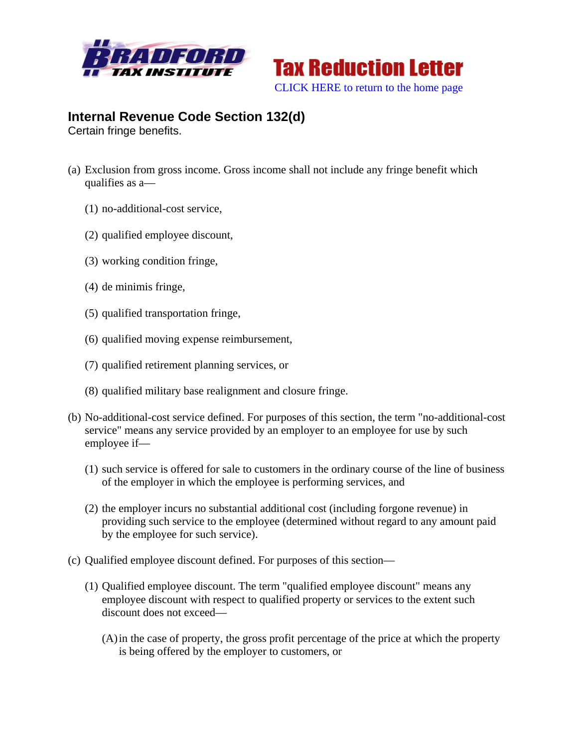



## **Internal Revenue Code Section 132(d)**

Certain fringe benefits.

- (a) Exclusion from gross income. Gross income shall not include any fringe benefit which qualifies as a—
	- (1) no-additional-cost service,
	- (2) qualified employee discount,
	- (3) working condition fringe,
	- (4) de minimis fringe,
	- (5) qualified transportation fringe,
	- (6) qualified moving expense reimbursement,
	- (7) qualified retirement planning services, or
	- (8) qualified military base realignment and closure fringe.
- (b) No-additional-cost service defined. For purposes of this section, the term "no-additional-cost service" means any service provided by an employer to an employee for use by such employee if—
	- (1) such service is offered for sale to customers in the ordinary course of the line of business of the employer in which the employee is performing services, and
	- (2) the employer incurs no substantial additional cost (including forgone revenue) in providing such service to the employee (determined without regard to any amount paid by the employee for such service).
- (c) Qualified employee discount defined. For purposes of this section—
	- (1) Qualified employee discount. The term "qualified employee discount" means any employee discount with respect to qualified property or services to the extent such discount does not exceed—
		- (A)in the case of property, the gross profit percentage of the price at which the property is being offered by the employer to customers, or